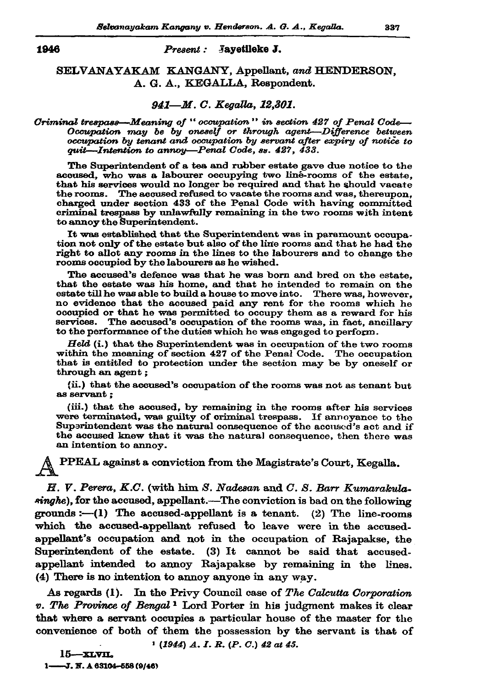## Present: Javetileke J.

## SELVANAYAKAM KANGANY, Appellant, and HENDERSON. A. G. A., KEGALLA, Respondent.

## 941-M.C. Kegalla, 12,301.

## Oriminal trespass—Meaning of "occupation" in section 427 of Penal Code— Occupation may be by oneself or through agent—Difference between<br>occupation by tenant and occupation by servant after expiry of notice to quit-Intention to annoy-Penal Code, ss. 427, 433.

The Superintendent of a tea and rubber estate gave due notice to the acoused, who was a labourer occupying two line-rooms of the estate. that his services would no longer be required and that he should vacate the rooms. The accused refused to vacate the rooms and was, thereupon, charged under section 433 of the Penal Code with having committed criminal trespass by unlawfully remaining in the two rooms with intent to annoy the Superintendent.

It was established that the Superintendent was in paramount occupation not only of the estate but also of the line rooms and that he had the right to allot any rooms in the lines to the labourers and to change the rooms occupied by the labourers as he wished.

The accused's defence was that he was born and bred on the estate, that the estate was his home, and that he intended to remain on the estate till he was able to build a house to move into. There was, however, no evidence that the accused paid any rent for the rooms which he occupied or that he was permitted to occupy them as a reward for his services. The accused's occupation of the rooms was, in fact, ancillary to the performance of the duties which he was engaged to perform.

 $Held$  (i.) that the Superintendent was in occupation of the two rooms within the meaning of section 427 of the Penal Code. The occupation that is entitled to protection under the section may be by oneself or through an agent;

(ii.) that the accused's occupation of the rooms was not as tenant but as servant :

(iii.) that the accused, by remaining in the rooms after his services were terminated, was guilty of criminal trespass. If annoyance to the Superintendent was the natural consequence of the accused's act and if the accused knew that it was the natural consequence, then there was an intention to annoy.

PPEAL against a conviction from the Magistrate's Court, Kegalla.

H. V. Perera, K.C. (with him S. Nadesan and C. S. Barr Kumarakulasinghe), for the accused, appellant.—The conviction is bad on the following grounds :-  $(1)$  The accused-appellant is a tenant. (2) The line-rooms which the accused-appellant refused to leave were in the accusedappellant's occupation and not in the occupation of Rajapakse, the Superintendent of the estate. (3) It cannot be said that accusedappellant intended to annoy Rajapakse by remaining in the lines. (4) There is no intention to annoy anyone in any way.

As regards (1). In the Privy Council case of The Calcutta Corporation v. The Province of Bengal<sup>1</sup> Lord Porter in his judgment makes it clear that where a servant occupies a particular house of the master for the convenience of both of them the possession by the servant is that of

 $1$  (1944) A. I. R. (P. C.) 42 at 45.

 $15 -$ XLVIL 1-3. N. A 63104-558 (9/46)

1946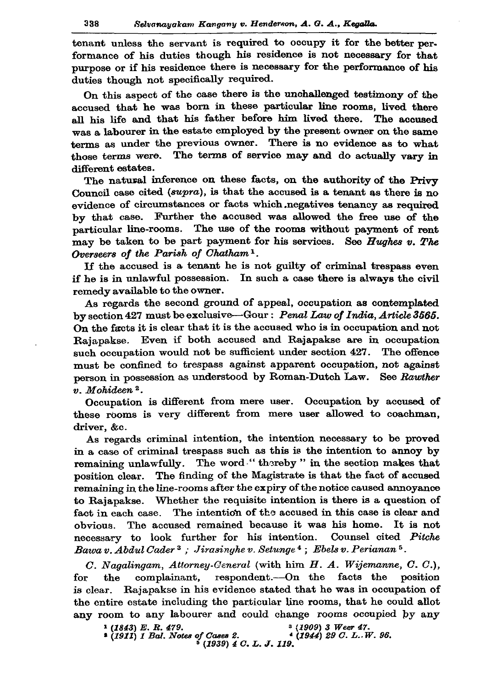tenant unless the servant is required to occupy it for the better performance of his duties though his residence is not necessary for that purpose or if his residence there is necessary for the performance of his duties though not specifically required.

On this aspect of the case there is the unchallenged testimony of the accused that he was born in these particular line rooms, lived there all his life and that his father before him lived there. The accused was a labourer in the estate employed by the present owner on the same terms as under the previous owner. There is no evidence as to what those terms were. The terms of service may and do actually vary in different estates.

The natural inference on these facts, on the authority of the Privy Council case cited ( $\text{supra}$ ), is that the accused is a tenant as there is no evidence of circumstances or facts which negatives tenancy as required by that case. Further the accused was allowed the free use of the particular line-rooms. The use of the rooms without payment of rent may be taken to be part payment for his services. See Hughes v. The Overseers of the Parish of Chatham<sup>1</sup>.

If the accused is a tenant he is not guilty of criminal trespass even if he is in unlawful possession. In such a case there is always the civil remedy available to the owner.

As regards the second ground of appeal, occupation as contemplated by section 427 must be exclusive—Gour: Penal Law of India, Article 3565. On the facts it is clear that it is the accused who is in occupation and not Rajapakse. Even if both accused and Rajapakse are in occupation such occupation would not be sufficient under section 427. The offence must be confined to trespass against apparent occupation, not against person in possession as understood by Roman-Dutch Law. See Rawther v. Mohideen<sup>2</sup>.

Occupation is different from mere user. Occupation by accused of these rooms is very different from mere user allowed to coachman, driver, &c.

As regards criminal intention, the intention necessary to be proved in a case of criminal trespass such as this is the intention to annoy by remaining unlawfully. The word "thereby" in the section makes that position clear. The finding of the Magistrate is that the fact of accused remaining in the line-rooms after the expiry of the notice caused annoyance to Raiapakse. Whether the requisite intention is there is a question of The intention of the accused in this case is clear and fact in each case. obvious. The accused remained because it was his home. It is not Counsel cited Pitche necessary to look further for his intention. Bawa v. Abdul Cader<sup>3</sup>; Jirasinghe v. Setunge<sup>4</sup>; Ebels v. Perianan<sup>5</sup>.

 $C.$  Nagalingam, Attorney-Ceneral (with him  $H.$  A. Wijemanne,  $C.$   $C.$ ), for the complainant, respondent.---On the facts the position is clear. Rajapakse in his evidence stated that he was in occupation of the entire estate including the particular line rooms, that he could allot any room to any labourer and could change rooms occupied by any

 $(1843) E. R. 479.$ <sup>3</sup> (1909) 3 Weer 47. \* (1911) 1 Bal. Notes of Cases 2.<br>\* (1911) 1 Bal. Notes of Cases 2.  $(1944)$  29 C. L. W. 96.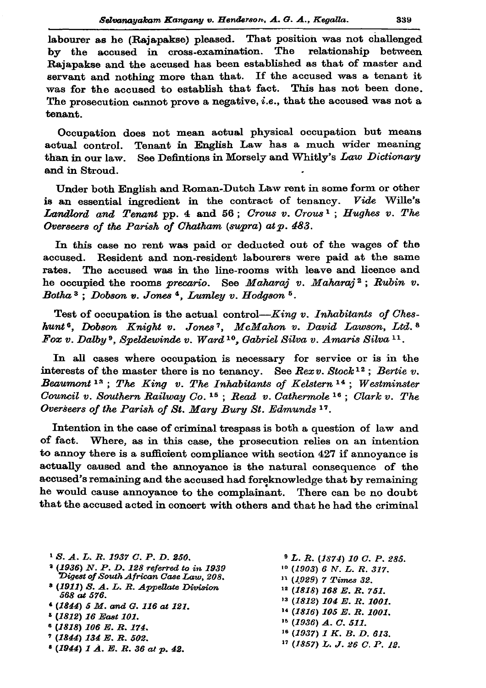labourer as he (Rajapakse) pleased. That position was not challenged by the accused in cross-examination. The relationship between Rajapakse and the accused has been established as that of master and servant and nothing more than that. If the accused was a tenant it was for the accused to establish that fact. This has not been done. The prosecution cannot prove a negative, *i.e.*, that the accused was not a tenant.

Occupation does not mean actual physical occupation but means Tenant in English Law has a much wider meaning actual control. than in our law. See Defintions in Morsely and Whitly's Law Dictionary and in Stroud.

Under both English and Roman-Dutch Law rent in some form or other is an essential ingredient in the contract of tenancy. Vide Wille's Landlord and Tenant pp. 4 and 56; Crous v. Crous<sup>1</sup>; Hughes v. The Overseers of the Parish of Chatham (supra) at p. 483.

In this case no rent was paid or deducted out of the wages of the Resident and non-resident labourers were paid at the same accused. rates. The accused was in the line-rooms with leave and licence and he occupied the rooms precario. See Maharaj v. Maharaj<sup>2</sup>; Rubin v. Botha<sup>3</sup>: Dobson v. Jones<sup>4</sup>, Lumley v. Hodgson<sup>5</sup>.

Test of occupation is the actual control— $King\ v$ . Inhabitants of Cheshunt<sup>6</sup>, Dobson Knight v. Jones<sup>7</sup>, McMahon v. David Lawson, Ltd.<sup>8</sup> Fox v. Dalby<sup>9</sup>, Speldewinde v. Ward<sup>10</sup>, Gabriel Silva v. Amaris Silva<sup>11</sup>.

In all cases where occupation is necessary for service or is in the interests of the master there is no tenancy. See  $Rexv$ . Stock<sup>12</sup>; Bertie v. Beaumont<sup>13</sup>; The King v. The Inhabitants of Kelstern<sup>14</sup>; Westminster Council v. Southern Railway Co.<sup>15</sup>; Read v. Cathermole<sup>16</sup>; Clark v. The Overseers of the Parish of St. Mary Bury St. Edmunds 17.

Intention in the case of criminal trespass is both a question of law and of fact. Where, as in this case, the prosecution relies on an intention to annoy there is a sufficient compliance with section 427 if annoyance is actually caused and the annoyance is the natural consequence of the accused's remaining and the accused had foreknowledge that by remaining he would cause annoyance to the complainant. There can be no doubt that the accused acted in concert with others and that he had the criminal

| 1 S. A. L. R. 1937 C. P. D. 250.                                                               | $\frac{9}{2}$ L. R. (1874) 10 C. P. 285. |
|------------------------------------------------------------------------------------------------|------------------------------------------|
| <sup>2</sup> (1936) N. P. D. 128 referred to in 1939<br>Digest of South African Case Law. 208. | $10$ (1903) 6 N. L. R. 317.              |
|                                                                                                | $11$ (1929) 7 Times 32.                  |
| <sup>8</sup> (1911) S. A. L. R. Appellate Division<br>568 at 576.                              | $12$ (1818) 168 E.R. 751.                |
| $(1844)$ 5 M. and G. 116 at 121.<br><sup>8</sup> (1812) 16 East 101.<br>$(1818)$ 106 E.R. 174. | <sup>13</sup> (1812) 104 E. R. 1001.     |
|                                                                                                | $14$ (1816) 105 E.R. 1001.               |
|                                                                                                | $15$ (1936) A. C. 511.                   |
|                                                                                                | $16$ (1937) 1 K, B, D, 613,              |
| $7(1844)$ 134 E.R. 502.                                                                        | $17$ (1857) L. J. 26 C. P. 12.           |
| $(1944)$ 1 A. E. R. 36 at p. 42.                                                               |                                          |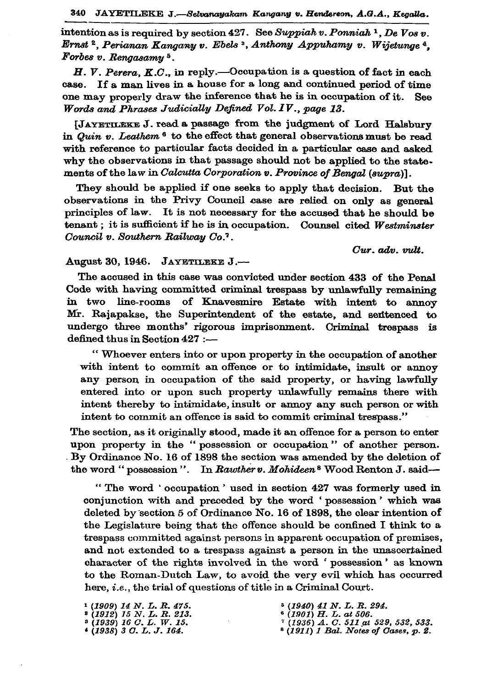intention as is required by section 427. See Suppiah v. Ponniah <sup>1</sup>, De Vos v. Ernst<sup>2</sup>, Perianan Kangany v. Ebels<sup>3</sup>, Anthony Appuhamy v. Wijetunge<sup>4</sup>, Forbes v. Rengasamy<sup>5</sup>.

H. V. Perera, K.C., in reply.—Occupation is a question of fact in each If a man lives in a house for a long and continued period of time  $case.$ one may properly draw the inference that he is in occupation of it. See Words and Phrases Judicially Defined Vol. IV., page 13.

[JAYETILEKE J. read a passage from the judgment of Lord Halsbury in Quin v. Leathem<sup>6</sup> to the effect that general observations must be read with reference to particular facts decided in a particular case and asked why the observations in that passage should not be applied to the statements of the law in Calcutta Corporation v. Province of Bengal (supra)].

They should be applied if one seeks to apply that decision. But the observations in the Privy Council case are relied on only as general principles of law. It is not necessary for the accused that he should be tenant : it is sufficient if he is in occupation. Counsel cited Westminster Council v. Southern Railway Co.'.

Cur. adv. vult.

August 30, 1946. JAYETILEKE J.-

The accused in this case was convicted under section 433 of the Penal Code with having committed criminal trespass by unlawfully remaining in two line-rooms of Knavesmire Estate with intent to annoy Mr. Rajapakse, the Superintendent of the estate, and sentenced to undergo three months' rigorous imprisonment. Criminal trespass is defined thus in Section 427 :--

"Whoever enters into or upon property in the occupation of another with intent to commit an offence or to intimidate, insult or annoy any person in occupation of the said property, or having lawfully entered into or upon such property unlawfully remains there with intent thereby to intimidate, insult or annoy any such person or with intent to commit an offence is said to commit criminal trespass."

The section, as it originally stood, made it an offence for a person to enter upon property in the "possession or occupation" of another person. By Ordinance No. 16 of 1898 the section was amended by the deletion of the word "possession". In Rawther v. Mohideen<sup>8</sup> Wood Renton J. said-

"The word 'occupation' used in section 427 was formerly used in conjunction with and preceded by the word 'possession' which was deleted by section 5 of Ordinance No. 16 of 1898, the clear intention of the Legislature being that the offence should be confined I think to a trespass committed against persons in apparent occupation of premises, and not extended to a trespass against a person in the unascertained character of the rights involved in the word 'possession' as known to the Roman-Dutch Law, to avoid the very evil which has occurred here, *i.e.*, the trial of questions of title in a Criminal Court.

 $(1909)$  14 N.L.R. 475.<br>  $(1912)$  15 N.L.R. 213.  $(1939)$  16 O.L. W. 15.  $*(1938)$  3 O.L.J. 164.

 $(1940)$  41 N. L. R. 294.<br>  $(1901)$  H. L. at 506.

- $(1936)$  A. C. 511 at 529, 532, 533.
- $(1911)$  1 Bal. Notes of Cases,  $p.$  2.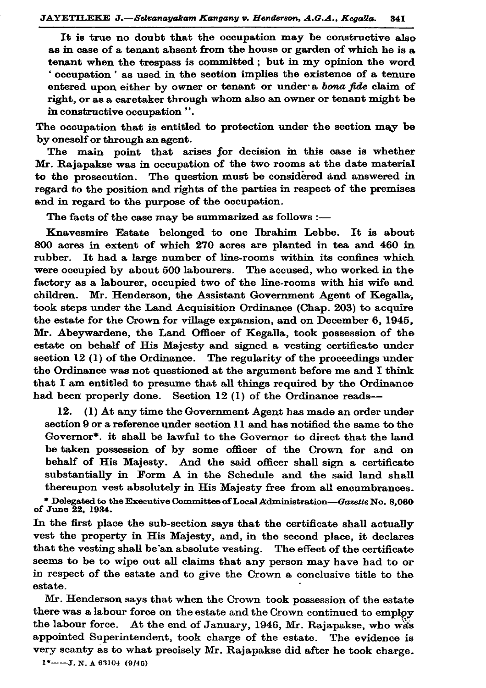It is true no doubt that the occupation may be constructive also as in case of a tenant absent from the house or garden of which he is a tenant when the trespass is committed; but in my opinion the word 'occupation' as used in the section implies the existence of a tenure entered upon either by owner or tenant or under a bona fide claim of right, or as a caretaker through whom also an owner or tenant might be in constructive occupation".

The occupation that is entitled to protection under the section may be by oneself or through an agent.

The main point that arises for decision in this case is whether Mr. Rajapakse was in occupation of the two rooms at the date material to the prosecution. The question must be considered and answered in regard to the position and rights of the parties in respect of the premises and in regard to the purpose of the occupation.

The facts of the case may be summarized as follows :-

Knavesmire Estate belonged to one Ibrahim Lebbe. It is about 800 acres in extent of which 270 acres are planted in tea and 460 in It had a large number of line-rooms within its confines which rubber. were occupied by about 500 labourers. The accused, who worked in the factory as a labourer, occupied two of the line-rooms with his wife and children. Mr. Henderson, the Assistant Government Agent of Kegalla, took steps under the Land Acquisition Ordinance (Chap. 203) to acquire the estate for the Crown for village expansion, and on December 6, 1945, Mr. Abeywardene, the Land Officer of Kegalla, took possession of the estate on behalf of His Majesty and signed a vesting certificate under section  $12$  (1) of the Ordinance. The regularity of the proceedings under the Ordinance was not questioned at the argument before me and I think that I am entitled to presume that all things required by the Ordinance had been properly done. Section 12 (1) of the Ordinance reads-

(1) At any time the Government Agent has made an order under 12. section 9 or a reference under section 11 and has notified the same to the Governor\*. it shall be lawful to the Governor to direct that the land be taken possession of by some officer of the Crown for and on behalf of His Majesty. And the said officer shall sign a certificate substantially in Form A in the Schedule and the said land shall thereupon vest absolutely in His Majesty free from all encumbrances. \* Delegated to the Executive Committee of Local Administration—Gazette No. 8,060<br>of June 22, 1934.

In the first place the sub-section says that the certificate shall actually vest the property in His Majesty, and, in the second place, it declares that the vesting shall be an absolute vesting. The effect of the certificate seems to be to wipe out all claims that any person may have had to or in respect of the estate and to give the Crown a conclusive title to the estate.

Mr. Henderson says that when the Crown took possession of the estate there was a labour force on the estate and the Crown continued to employ the labour force. At the end of January, 1946, Mr. Rajapakse, who was appointed Superintendent, took charge of the estate. The evidence is very scanty as to what precisely Mr. Rajapakse did after he took charge.

 $1^*$ ---J. N. A 63104 (9/46)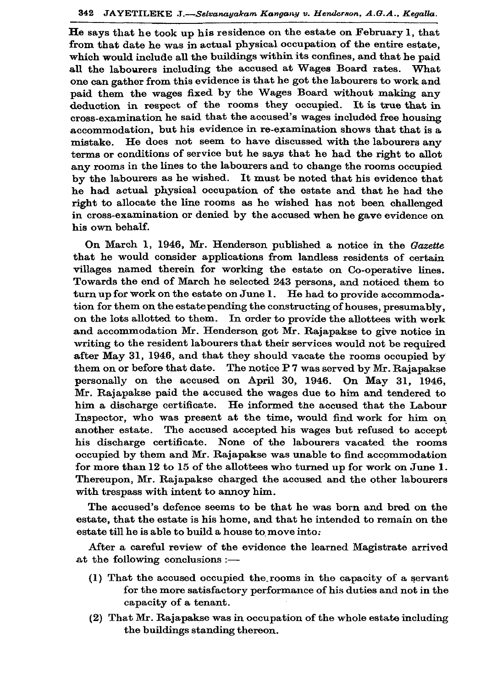He says that he took up his residence on the estate on February 1. that from that date he was in actual physical occupation of the entire estate. which would include all the buildings within its confines, and that he paid all the labourers including the accused at Wages Board rates. What one can gather from this evidence is that he got the labourers to work and paid them the wages fixed by the Wages Board without making any deduction in respect of the rooms they occupied. It is true that in cross-examination he said that the accused's wages included free housing accommodation, but his evidence in re-examination shows that that is a He does not seem to have discussed with the labourers any mistake. terms or conditions of service but he says that he had the right to allot any rooms in the lines to the labourers and to change the rooms occupied by the labourers as he wished. It must be noted that his evidence that he had actual physical occupation of the estate and that he had the right to allocate the line rooms as he wished has not been challenged in cross-examination or denied by the accused when he gave evidence on his own behalf.

On March 1, 1946, Mr. Henderson published a notice in the Gazette that he would consider applications from landless residents of certain villages named therein for working the estate on Co-operative lines. Towards the end of March he selected 243 persons, and noticed them to turn up for work on the estate on June 1. He had to provide accommodation for them on the estate pending the constructing of houses, presumably, on the lots allotted to them. In order to provide the allottees with work and accommodation Mr. Henderson got Mr. Rajapakse to give notice in writing to the resident labourers that their services would not be required after May 31, 1946, and that they should vacate the rooms occupied by them on or before that date. The notice P7 was served by Mr. Rajapakse personally on the accused on April 30, 1946. On May 31, 1946, Mr. Rajapakse paid the accused the wages due to him and tendered to him a discharge certificate. He informed the accused that the Labour Inspector, who was present at the time, would find work for him on another estate. The accused accepted his wages but refused to accept his discharge certificate. None of the labourers vacated the rooms occupied by them and Mr. Rajapakse was unable to find accommodation for more than 12 to 15 of the allottees who turned up for work on June 1. Thereupon, Mr. Rajapakse charged the accused and the other labourers with trespass with intent to annoy him.

The accused's defence seems to be that he was born and bred on the estate, that the estate is his home, and that he intended to remain on the estate till he is able to build a house to move into:

After a careful review of the evidence the learned Magistrate arrived at the following conclusions :-

- (1) That the accused occupied the rooms in the capacity of a servant for the more satisfactory performance of his duties and not in the capacity of a tenant.
- (2) That Mr. Rajapakse was in occupation of the whole estate including the buildings standing thereon.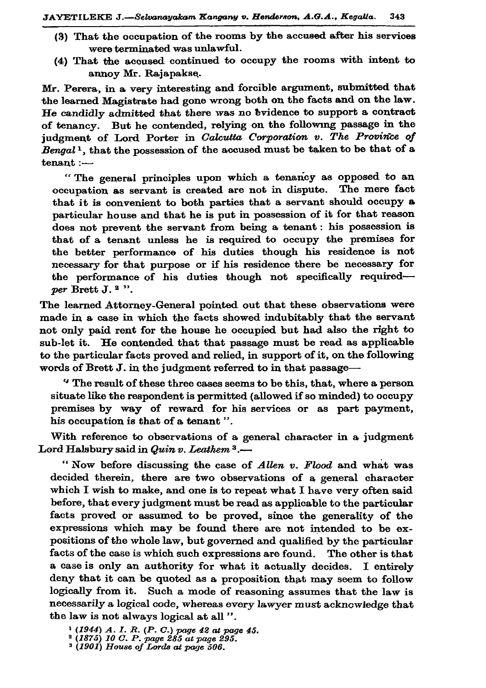- (3) That the occupation of the rooms by the accused after his services were terminated was unlawful.
- (4) That the accused continued to occupy the rooms with intent to annov Mr. Rajanakse.

Mr. Perera, in a very interesting and forcible argument, submitted that the learned Magistrate had gone wrong both on the facts and on the law. He candidly admitted that there was no bvidence to support a contract of tenancy. But he contended, relying on the following passage in the judgment of Lord Porter in Calcutta Corporation v. The Province of Bengal<sup>1</sup>, that the possession of the accused must be taken to be that of a  $t$ enant $:=$ 

"The general principles upon which a tenancy as opposed to an occupation as servant is created are not in dispute. The mere fact that it is convenient to both parties that a servant should occupy a particular house and that he is put in possession of it for that reason does not prevent the servant from being a tenant: his possession is that of a tenant unless he is required to occupy the premises for the better performance of his duties though his residence is not necessary for that purpose or if his residence there be necessary for the performance of his duties though not specifically requiredper Brett J.<sup>2</sup>".

The learned Attorney-General pointed out that these observations were made in a case in which the facts showed indubitably that the servant not only paid rent for the house he occupied but had also the right to sub-let it. He contended that that passage must be read as applicable to the particular facts proved and relied, in support of it, on the following words of Brett J. in the judgment referred to in that passage-

"The result of these three cases seems to be this, that, where a person situate like the respondent is permitted (allowed if so minded) to occupy premises by way of reward for his services or as part payment, his occupation is that of a tenant".

With reference to observations of a general character in a judgment Lord Halsbury said in Quin v. Leathem 3.-

"Now before discussing the case of Allen v. Flood and what was decided therein, there are two observations of a general character which I wish to make, and one is to repeat what I have very often said before, that every judgment must be read as applicable to the particular facts proved or assumed to be proved, since the generality of the expressions which may be found there are not intended to be expositions of the whole law, but governed and qualified by the particular facts of the case is which such expressions are found. The other is that a case is only an authority for what it actually decides. I entirely deny that it can be quoted as a proposition that may seem to follow logically from it. Such a mode of reasoning assumes that the law is necessarily a logical code, whereas every lawyer must acknowledge that the law is not always logical at all".

<sup>&</sup>lt;sup>1</sup> (1944) A. I. R. (P. C.) page 42 at page 45.<br><sup>2</sup> (1875) 10 C. P. page 285 at page 295.<br><sup>3</sup> (1901) House of Lords at page 506.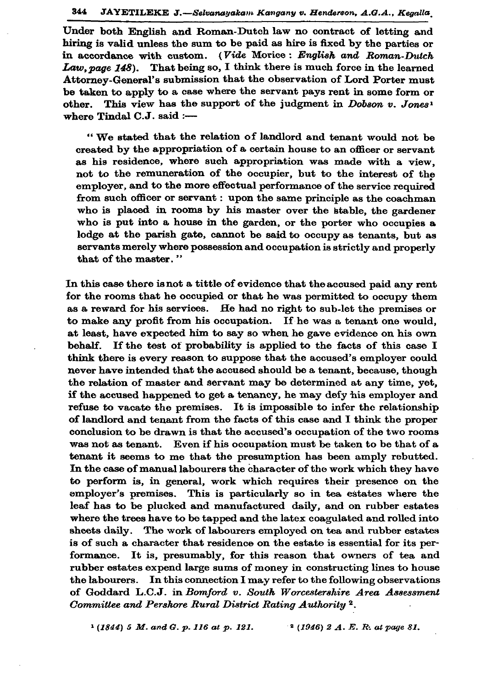Under both English and Roman-Dutch law no contract of letting and hiring is valid unless the sum to be paid as hire is fixed by the parties or in accordance with custom. (Vide Morice: English and Roman-Dutch Law, page 148). That being so, I think there is much force in the learned Attorney-General's submission that the observation of Lord Porter must be taken to apply to a case where the servant pays rent in some form or other. This view has the support of the judgment in Dobson v. Jones<sup>1</sup> where Tindal  $C.J.$  said :-

"We stated that the relation of landlord and tenant would not be created by the appropriation of a certain house to an officer or servant as his residence, where such appropriation was made with a view. not to the remuneration of the occupier, but to the interest of the emplover, and to the more effectual performance of the service required from such officer or servant : upon the same principle as the coachman who is placed in rooms by his master over the stable, the gardener who is put into a house in the garden, or the porter who occupies a lodge at the parish gate, cannot be said to occupy as tenants, but as servants merely where possession and occupation is strictly and properly that of the master."

In this case there is not a tittle of evidence that the accused paid any rent for the rooms that he occupied or that he was permitted to occupy them as a reward for his services. He had no right to sub-let the premises or to make any profit from his occupation. If he was a tenant one would, at least, have expected him to say so when he gave evidence on his own behalf. If the test of probability is applied to the facts of this case I think there is every reason to suppose that the accused's employer could never have intended that the accused should be a tenant, because, though the relation of master and servant may be determined at any time, yet, if the accused happened to get a tenancy, he may defy his employer and refuse to vacate the premises. It is impossible to infer the relationship of landlord and tenant from the facts of this case and I think the proper conclusion to be drawn is that the accused's occupation of the two rooms was not as tenant. Even if his occupation must be taken to be that of a tenant it seems to me that the presumption has been amply rebutted. In the case of manual labourers the character of the work which they have to perform is, in general, work which requires their presence on the employer's premises. This is particularly so in tea estates where the leaf has to be plucked and manufactured daily, and on rubber estates where the trees have to be tapped and the latex coagulated and rolled into sheets daily. The work of labourers employed on tea and rubber estates is of such a character that residence on the estate is essential for its performance. It is, presumably, for this reason that owners of tea and rubber estates expend large sums of money in constructing lines to house the labourers. In this connection I may refer to the following observations of Goddard L.C.J. in Bomford v. South Worcestershire Area Assessment Committee and Pershore Rural District Rating Authority<sup>2</sup>.

 $(1844)$  5 M. and G. p. 116 at p. 121.  $2(1946)$  2 A. E. R. at page 81.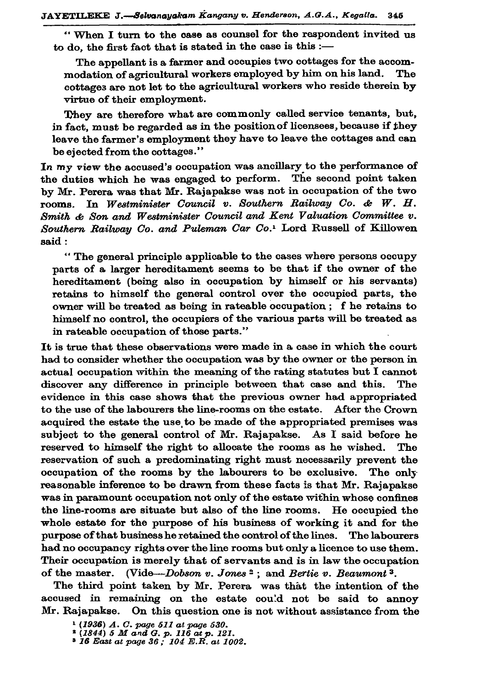"When I turn to the case as counsel for the respondent invited us to do, the first fact that is stated in the case is this :-

The appellant is a farmer and occupies two cottages for the accommodation of agricultural workers employed by him on his land. The cottages are not let to the agricultural workers who reside therein by virtue of their employment.

They are therefore what are commonly called service tenants, but, in fact, must be regarded as in the position of licensees, because if they leave the farmer's employment they have to leave the cottages and can be ejected from the cottages."

In my view the accused's occupation was ancillary to the performance of the duties which he was engaged to perform. The second point taken by Mr. Perera was that Mr. Rajapakse was not in occupation of the two In Westminister Council v. Southern Railway Co. & W. H. rooms. Smith & Son and Westminister Council and Kent Valuation Committee v. Southern Railway Co. and Puleman Car Co.<sup>1</sup> Lord Russell of Killowen said:

"The general principle applicable to the cases where persons occupy parts of a larger hereditament seems to be that if the owner of the hereditament (being also in occupation by himself or his servants) retains to himself the general control over the occupied parts, the owner will be treated as being in rateable occupation; f he retains to himself no control, the occupiers of the various parts will be treated as in rateable occupation of those parts."

It is true that these observations were made in a case in which the court had to consider whether the occupation was by the owner or the person in actual occupation within the meaning of the rating statutes but I cannot discover any difference in principle between that case and this. The evidence in this case shows that the previous owner had appropriated to the use of the labourers the line-rooms on the estate. After the Crown acquired the estate the use to be made of the appropriated premises was subject to the general control of Mr. Rajapakse. As I said before he reserved to himself the right to allocate the rooms as he wished. reservation of such a predominating right must necessarily prevent the occupation of the rooms by the labourers to be exclusive. The only reasonable inference to be drawn from these facts is that Mr. Rajapakse was in paramount occupation not only of the estate within whose confines the line-rooms are situate but also of the line rooms. He occupied the whole estate for the purpose of his business of working it and for the purpose of that business he retained the control of the lines. The labourers had no occupancy rights over the line rooms but only a licence to use them. Their occupation is merely that of servants and is in law the occupation of the master. (Vide-Dobson v. Jones<sup>2</sup>; and Bertie v. Beaumont<sup>3</sup>.

The third point taken by Mr. Perera was that the intention of the accused in remaining on the estate could not be said to annoy Mr. Rajapakse. On this question one is not without assistance from the

<sup>&</sup>lt;sup>1</sup> (1936) A. C. page 511 at page 530.<br><sup>2</sup> (1844) 5 M and G. p. 116 at p. 121.<br><sup>3</sup> 16 East at page 36; 104 E.R. at 1002.